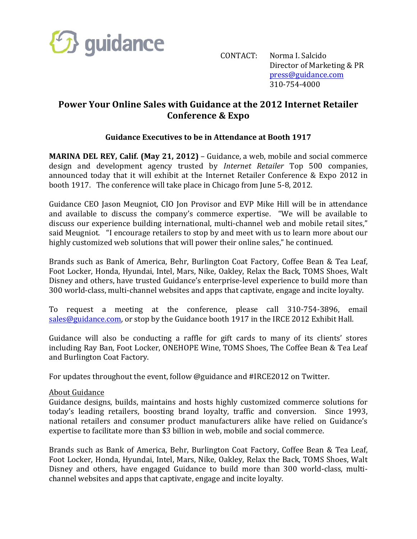

CONTACT: Norma I. Salcido Director of Marketing & PR press@guidance.com 310-754-4000

## **Power Your Online Sales with Guidance at the 2012 Internet Retailer Conference & Expo**

## **Guidance Executives to be in Attendance at Booth 1917**

**MARINA DEL REY, Calif. (May 21, 2012)** – Guidance, a web, mobile and social commerce design and development agency trusted by *Internet Retailer* Top 500 companies, announced today that it will exhibit at the Internet Retailer Conference & Expo 2012 in booth 1917. The conference will take place in Chicago from June 5-8, 2012.

Guidance CEO Jason Meugniot, CIO Jon Provisor and EVP Mike Hill will be in attendance and available to discuss the company's commerce expertise. "We will be available to discuss our experience building international, multi-channel web and mobile retail sites," said Meugniot. "I encourage retailers to stop by and meet with us to learn more about our highly customized web solutions that will power their online sales," he continued.

Brands such as Bank of America, Behr, Burlington Coat Factory, Coffee Bean & Tea Leaf, Foot Locker, Honda, Hyundai, Intel, Mars, Nike, Oakley, Relax the Back, TOMS Shoes, Walt Disney and others, have trusted Guidance's enterprise-level experience to build more than 300 world-class, multi-channel websites and apps that captivate, engage and incite loyalty.

To request a meeting at the conference, please call 310-754-3896, email sales@guidance.com, or stop by the Guidance booth 1917 in the IRCE 2012 Exhibit Hall.

Guidance will also be conducting a raffle for gift cards to many of its clients' stores including Ray Ban, Foot Locker, ONEHOPE Wine, TOMS Shoes, The Coffee Bean & Tea Leaf and Burlington Coat Factory.

For updates throughout the event, follow @guidance and #IRCE2012 on Twitter.

## About Guidance

Guidance designs, builds, maintains and hosts highly customized commerce solutions for today's leading retailers, boosting brand loyalty, traffic and conversion. Since 1993, national retailers and consumer product manufacturers alike have relied on Guidance's expertise to facilitate more than \$3 billion in web, mobile and social commerce.

Brands such as Bank of America, Behr, Burlington Coat Factory, Coffee Bean & Tea Leaf, Foot Locker, Honda, Hyundai, Intel, Mars, Nike, Oakley, Relax the Back, TOMS Shoes, Walt Disney and others, have engaged Guidance to build more than 300 world-class, multichannel websites and apps that captivate, engage and incite loyalty.